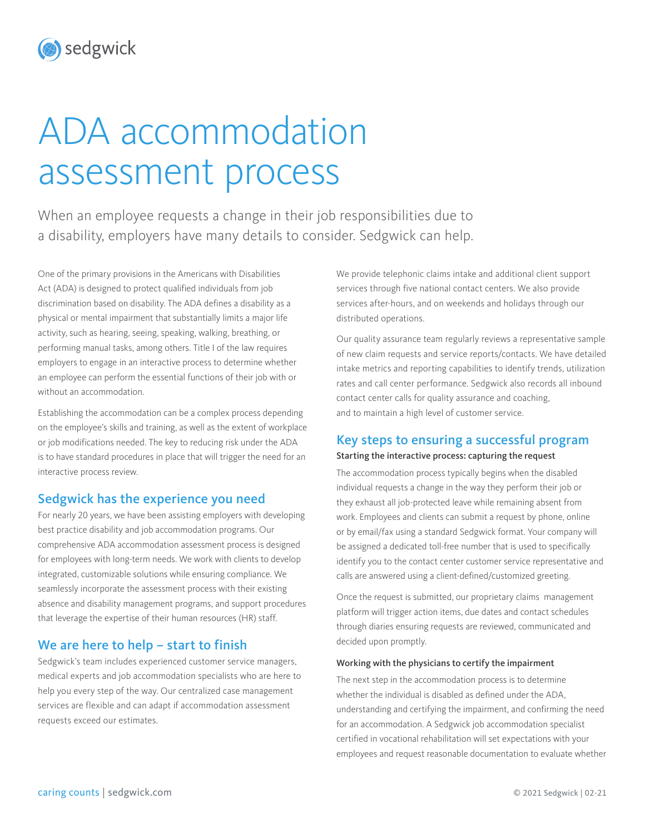# sedgwick

# ADA accommodation assessment process

When an employee requests a change in their job responsibilities due to a disability, employers have many details to consider. Sedgwick can help.

One of the primary provisions in the Americans with Disabilities Act (ADA) is designed to protect qualified individuals from job discrimination based on disability. The ADA defines a disability as a physical or mental impairment that substantially limits a major life activity, such as hearing, seeing, speaking, walking, breathing, or performing manual tasks, among others. Title I of the law requires employers to engage in an interactive process to determine whether an employee can perform the essential functions of their job with or without an accommodation.

Establishing the accommodation can be a complex process depending on the employee's skills and training, as well as the extent of workplace or job modifications needed. The key to reducing risk under the ADA is to have standard procedures in place that will trigger the need for an interactive process review.

# Sedgwick has the experience you need

For nearly 20 years, we have been assisting employers with developing best practice disability and job accommodation programs. Our comprehensive ADA accommodation assessment process is designed for employees with long-term needs. We work with clients to develop integrated, customizable solutions while ensuring compliance. We seamlessly incorporate the assessment process with their existing absence and disability management programs, and support procedures that leverage the expertise of their human resources (HR) staff.

# We are here to help – start to finish

Sedgwick's team includes experienced customer service managers, medical experts and job accommodation specialists who are here to help you every step of the way. Our centralized case management services are flexible and can adapt if accommodation assessment requests exceed our estimates.

We provide telephonic claims intake and additional client support services through five national contact centers. We also provide services after-hours, and on weekends and holidays through our distributed operations.

Our quality assurance team regularly reviews a representative sample of new claim requests and service reports/contacts. We have detailed intake metrics and reporting capabilities to identify trends, utilization rates and call center performance. Sedgwick also records all inbound contact center calls for quality assurance and coaching, and to maintain a high level of customer service.

# Key steps to ensuring a successful program

#### Starting the interactive process: capturing the request

The accommodation process typically begins when the disabled individual requests a change in the way they perform their job or they exhaust all job-protected leave while remaining absent from work. Employees and clients can submit a request by phone, online or by email/fax using a standard Sedgwick format. Your company will be assigned a dedicated toll-free number that is used to specifically identify you to the contact center customer service representative and calls are answered using a client-defined/customized greeting.

Once the request is submitted, our proprietary claims management platform will trigger action items, due dates and contact schedules through diaries ensuring requests are reviewed, communicated and decided upon promptly.

#### Working with the physicians to certify the impairment

The next step in the accommodation process is to determine whether the individual is disabled as defined under the ADA, understanding and certifying the impairment, and confirming the need for an accommodation. A Sedgwick job accommodation specialist certified in vocational rehabilitation will set expectations with your employees and request reasonable documentation to evaluate whether